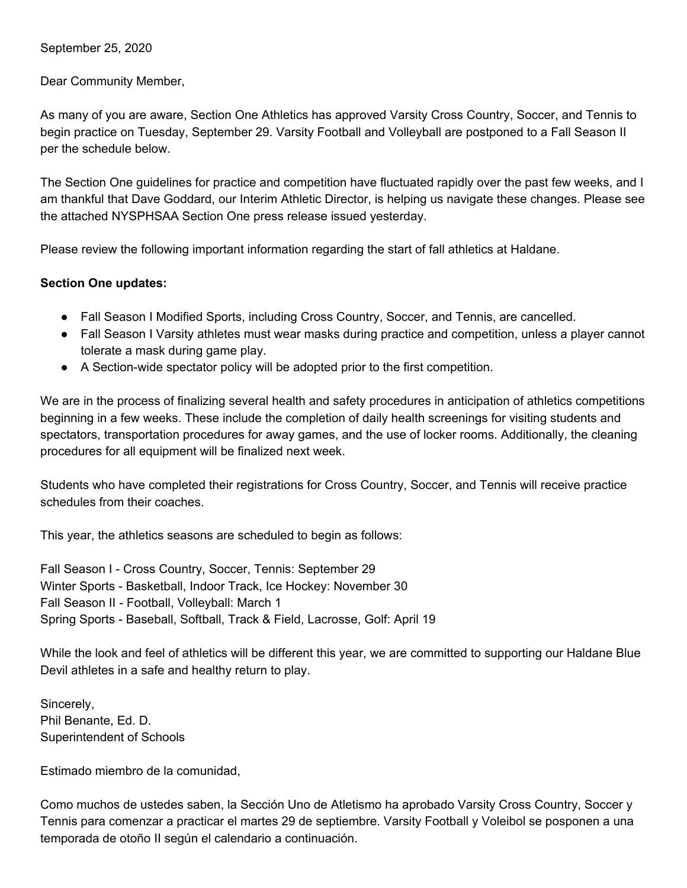September 25, 2020

Dear Community Member,

As many of you are aware, Section One Athletics has approved Varsity Cross Country, Soccer, and Tennis to begin practice on Tuesday, September 29. Varsity Football and Volleyball are postponed to a Fall Season II per the schedule below.

The Section One guidelines for practice and competition have fluctuated rapidly over the past few weeks, and I am thankful that Dave Goddard, our Interim Athletic Director, is helping us navigate these changes. Please see the attached NYSPHSAA Section One press release issued yesterday.

Please review the following important information regarding the start of fall athletics at Haldane.

## **Section One updates:**

- Fall Season I Modified Sports, including Cross Country, Soccer, and Tennis, are cancelled.
- Fall Season I Varsity athletes must wear masks during practice and competition, unless a player cannot tolerate a mask during game play.
- A Section-wide spectator policy will be adopted prior to the first competition.

We are in the process of finalizing several health and safety procedures in anticipation of athletics competitions beginning in a few weeks. These include the completion of daily health screenings for visiting students and spectators, transportation procedures for away games, and the use of locker rooms. Additionally, the cleaning procedures for all equipment will be finalized next week.

Students who have completed their registrations for Cross Country, Soccer, and Tennis will receive practice schedules from their coaches.

This year, the athletics seasons are scheduled to begin as follows:

Fall Season I - Cross Country, Soccer, Tennis: September 29 Winter Sports - Basketball, Indoor Track, Ice Hockey: November 30 Fall Season II - Football, Volleyball: March 1 Spring Sports - Baseball, Softball, Track & Field, Lacrosse, Golf: April 19

While the look and feel of athletics will be different this year, we are committed to supporting our Haldane Blue Devil athletes in a safe and healthy return to play.

Sincerely, Phil Benante, Ed. D. Superintendent of Schools

Estimado miembro de la comunidad,

Como muchos de ustedes saben, la Sección Uno de Atletismo ha aprobado Varsity Cross Country, Soccer y Tennis para comenzar a practicar el martes 29 de septiembre. Varsity Football y Voleibol se posponen a una temporada de otoño II según el calendario a continuación.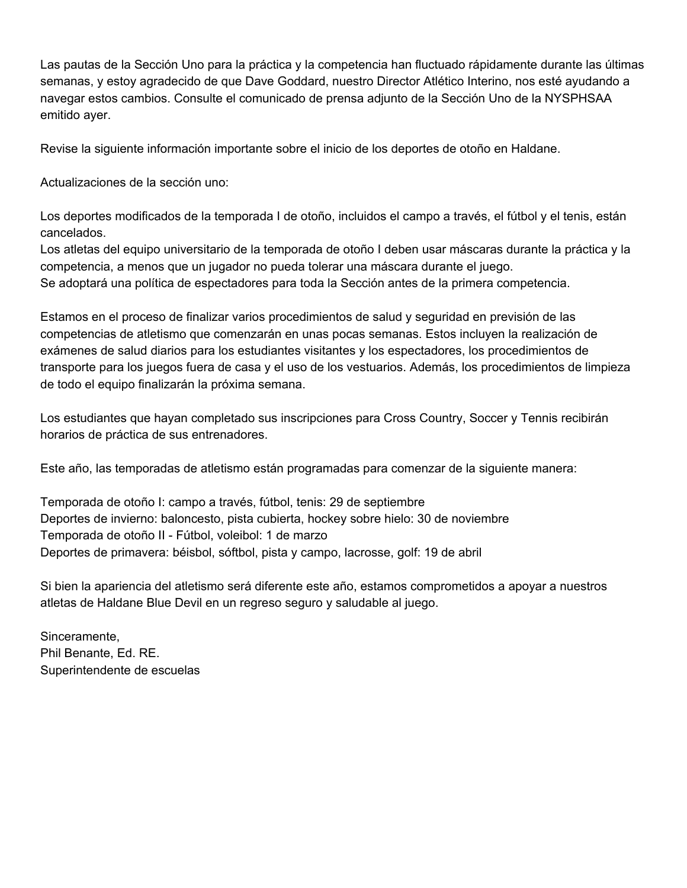Las pautas de la Sección Uno para la práctica y la competencia han fluctuado rápidamente durante las últimas semanas, y estoy agradecido de que Dave Goddard, nuestro Director Atlético Interino, nos esté ayudando a navegar estos cambios. Consulte el comunicado de prensa adjunto de la Sección Uno de la NYSPHSAA emitido ayer.

Revise la siguiente información importante sobre el inicio de los deportes de otoño en Haldane.

Actualizaciones de la sección uno:

Los deportes modificados de la temporada I de otoño, incluidos el campo a través, el fútbol y el tenis, están cancelados.

Los atletas del equipo universitario de la temporada de otoño I deben usar máscaras durante la práctica y la competencia, a menos que un jugador no pueda tolerar una máscara durante el juego. Se adoptará una política de espectadores para toda la Sección antes de la primera competencia.

Estamos en el proceso de finalizar varios procedimientos de salud y seguridad en previsión de las competencias de atletismo que comenzarán en unas pocas semanas. Estos incluyen la realización de exámenes de salud diarios para los estudiantes visitantes y los espectadores, los procedimientos de transporte para los juegos fuera de casa y el uso de los vestuarios. Además, los procedimientos de limpieza de todo el equipo finalizarán la próxima semana.

Los estudiantes que hayan completado sus inscripciones para Cross Country, Soccer y Tennis recibirán horarios de práctica de sus entrenadores.

Este año, las temporadas de atletismo están programadas para comenzar de la siguiente manera:

Temporada de otoño I: campo a través, fútbol, tenis: 29 de septiembre Deportes de invierno: baloncesto, pista cubierta, hockey sobre hielo: 30 de noviembre Temporada de otoño II - Fútbol, voleibol: 1 de marzo Deportes de primavera: béisbol, sóftbol, pista y campo, lacrosse, golf: 19 de abril

Si bien la apariencia del atletismo será diferente este año, estamos comprometidos a apoyar a nuestros atletas de Haldane Blue Devil en un regreso seguro y saludable al juego.

Sinceramente, Phil Benante, Ed. RE. Superintendente de escuelas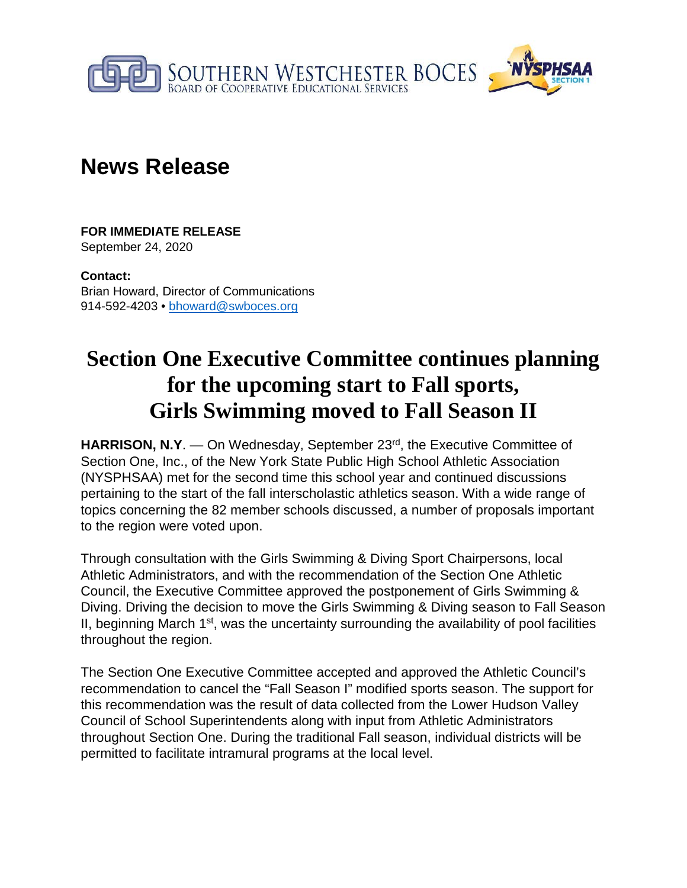

## **News Release**

**FOR IMMEDIATE RELEASE** September 24, 2020

**Contact:** Brian Howard, Director of Communications 914-592-4203 • bhoward@swboces.org

## **Section One Executive Committee continues planning for the upcoming start to Fall sports, Girls Swimming moved to Fall Season II**

**HARRISON, N.Y.** — On Wednesday, September 23<sup>rd</sup>, the Executive Committee of Section One, Inc., of the New York State Public High School Athletic Association (NYSPHSAA) met for the second time this school year and continued discussions pertaining to the start of the fall interscholastic athletics season. With a wide range of topics concerning the 82 member schools discussed, a number of proposals important to the region were voted upon.

Through consultation with the Girls Swimming & Diving Sport Chairpersons, local Athletic Administrators, and with the recommendation of the Section One Athletic Council, the Executive Committee approved the postponement of Girls Swimming & Diving. Driving the decision to move the Girls Swimming & Diving season to Fall Season II, beginning March  $1<sup>st</sup>$ , was the uncertainty surrounding the availability of pool facilities throughout the region.

The Section One Executive Committee accepted and approved the Athletic Council's recommendation to cancel the "Fall Season I" modified sports season. The support for this recommendation was the result of data collected from the Lower Hudson Valley Council of School Superintendents along with input from Athletic Administrators throughout Section One. During the traditional Fall season, individual districts will be permitted to facilitate intramural programs at the local level.